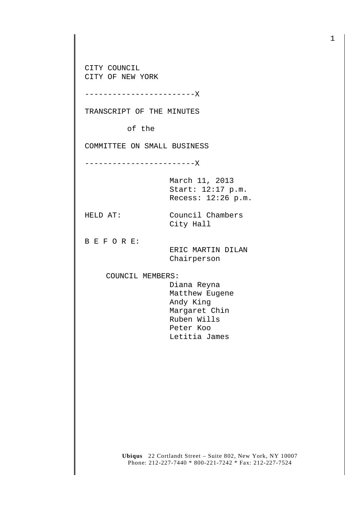CITY COUNCIL CITY OF NEW YORK

------------------------X

TRANSCRIPT OF THE MINUTES

of the

COMMITTEE ON SMALL BUSINESS

------------------------X

March 11, 2013 Start: 12:17 p.m. Recess: 12:26 p.m.

HELD AT: Council Chambers City Hall

B E F O R E:

 ERIC MARTIN DILAN Chairperson

COUNCIL MEMBERS:

 Diana Reyna Matthew Eugene Andy King Margaret Chin Ruben Wills Peter Koo Letitia James

**Ubiqus** 22 Cortlandt Street – Suite 802, New York, NY 10007 Phone: 212-227-7440 \* 800-221-7242 \* Fax: 212-227-7524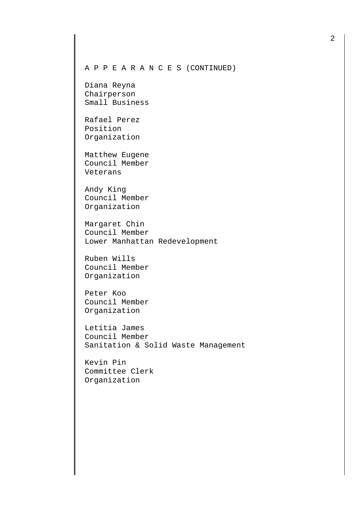## A P P E A R A N C E S (CONTINUED)

Diana Reyna Chairperson Small Business

Rafael Perez Position Organization

Matthew Eugene Council Member Veterans

Andy King Council Member Organization

Margaret Chin Council Member Lower Manhattan Redevelopment

Ruben Wills Council Member Organization

Peter Koo Council Member Organization

Letitia James Council Member Sanitation & Solid Waste Management

Kevin Pin Committee Clerk Organization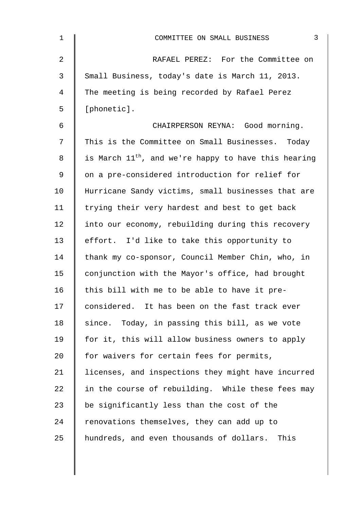| 1  | 3<br>COMMITTEE ON SMALL BUSINESS                                 |
|----|------------------------------------------------------------------|
| 2  | RAFAEL PEREZ: For the Committee on                               |
| 3  | Small Business, today's date is March 11, 2013.                  |
| 4  | The meeting is being recorded by Rafael Perez                    |
| 5  | [phonetic].                                                      |
| 6  | CHAIRPERSON REYNA: Good morning.                                 |
| 7  | This is the Committee on Small Businesses. Today                 |
| 8  | is March 11 <sup>th</sup> , and we're happy to have this hearing |
| 9  | on a pre-considered introduction for relief for                  |
| 10 | Hurricane Sandy victims, small businesses that are               |
| 11 | trying their very hardest and best to get back                   |
| 12 | into our economy, rebuilding during this recovery                |
| 13 | effort. I'd like to take this opportunity to                     |
| 14 | thank my co-sponsor, Council Member Chin, who, in                |
| 15 | conjunction with the Mayor's office, had brought                 |
| 16 | this bill with me to be able to have it pre-                     |
| 17 | considered. It has been on the fast track ever                   |
| 18 | since. Today, in passing this bill, as we vote                   |
| 19 | for it, this will allow business owners to apply                 |
| 20 | for waivers for certain fees for permits,                        |
| 21 | licenses, and inspections they might have incurred               |
| 22 | in the course of rebuilding. While these fees may                |
| 23 | be significantly less than the cost of the                       |
| 24 | renovations themselves, they can add up to                       |
| 25 | hundreds, and even thousands of dollars. This                    |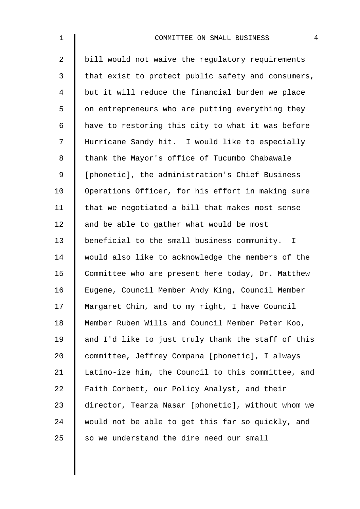| $\mathbf{1}$   | 4<br>COMMITTEE ON SMALL BUSINESS                   |
|----------------|----------------------------------------------------|
| $\overline{2}$ | bill would not waive the regulatory requirements   |
| 3              | that exist to protect public safety and consumers, |
| 4              | but it will reduce the financial burden we place   |
| 5              | on entrepreneurs who are putting everything they   |
| 6              | have to restoring this city to what it was before  |
| 7              | Hurricane Sandy hit. I would like to especially    |
| 8              | thank the Mayor's office of Tucumbo Chabawale      |
| 9              | [phonetic], the administration's Chief Business    |
| 10             | Operations Officer, for his effort in making sure  |
| 11             | that we negotiated a bill that makes most sense    |
| 12             | and be able to gather what would be most           |
| 13             | beneficial to the small business community. I      |
| 14             | would also like to acknowledge the members of the  |
| 15             | Committee who are present here today, Dr. Matthew  |
| 16             | Eugene, Council Member Andy King, Council Member   |
| 17             | Margaret Chin, and to my right, I have Council     |
| 18             | Member Ruben Wills and Council Member Peter Koo,   |
| 19             | and I'd like to just truly thank the staff of this |
| 20             | committee, Jeffrey Compana [phonetic], I always    |
| 21             | Latino-ize him, the Council to this committee, and |
| 22             | Faith Corbett, our Policy Analyst, and their       |
| 23             | director, Tearza Nasar [phonetic], without whom we |
| 24             | would not be able to get this far so quickly, and  |
| 25             | so we understand the dire need our small           |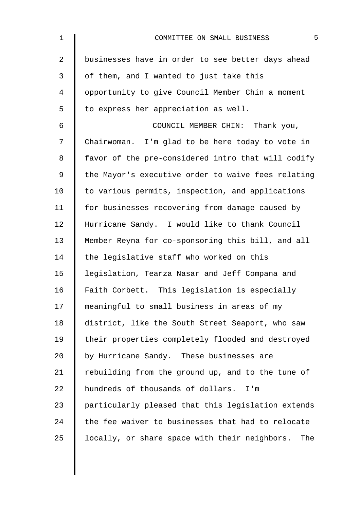| $\mathbf 1$    | 5<br>COMMITTEE ON SMALL BUSINESS                     |
|----------------|------------------------------------------------------|
| $\overline{a}$ | businesses have in order to see better days ahead    |
| 3              | of them, and I wanted to just take this              |
| 4              | opportunity to give Council Member Chin a moment     |
| 5              | to express her appreciation as well.                 |
| 6              | COUNCIL MEMBER CHIN: Thank you,                      |
| 7              | Chairwoman. I'm glad to be here today to vote in     |
| 8              | favor of the pre-considered intro that will codify   |
| 9              | the Mayor's executive order to waive fees relating   |
| 10             | to various permits, inspection, and applications     |
| 11             | for businesses recovering from damage caused by      |
| 12             | Hurricane Sandy. I would like to thank Council       |
| 13             | Member Reyna for co-sponsoring this bill, and all    |
| 14             | the legislative staff who worked on this             |
| 15             | legislation, Tearza Nasar and Jeff Compana and       |
| 16             | Faith Corbett. This legislation is especially        |
| 17             | meaningful to small business in areas of my          |
| 18             | district, like the South Street Seaport, who saw     |
| 19             | their properties completely flooded and destroyed    |
| 20             | by Hurricane Sandy. These businesses are             |
| 21             | rebuilding from the ground up, and to the tune of    |
| 22             | hundreds of thousands of dollars. I'm                |
| 23             | particularly pleased that this legislation extends   |
| 24             | the fee waiver to businesses that had to relocate    |
| 25             | locally, or share space with their neighbors.<br>The |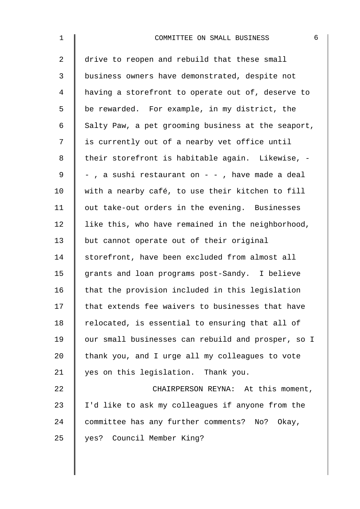| $\mathbf{1}$   | 6<br>COMMITTEE ON SMALL BUSINESS                   |
|----------------|----------------------------------------------------|
| $\overline{a}$ | drive to reopen and rebuild that these small       |
| 3              | business owners have demonstrated, despite not     |
| 4              | having a storefront to operate out of, deserve to  |
| 5              | be rewarded. For example, in my district, the      |
| 6              | Salty Paw, a pet grooming business at the seaport, |
| 7              | is currently out of a nearby vet office until      |
| 8              | their storefront is habitable again. Likewise, -   |
| 9              | - , a sushi restaurant on - - , have made a deal   |
| 10             | with a nearby café, to use their kitchen to fill   |
| 11             | out take-out orders in the evening. Businesses     |
| 12             | like this, who have remained in the neighborhood,  |
| 13             | but cannot operate out of their original           |
| 14             | storefront, have been excluded from almost all     |
| 15             | grants and loan programs post-Sandy. I believe     |
| 16             | that the provision included in this legislation    |
| 17             | that extends fee waivers to businesses that have   |
| 18             | relocated, is essential to ensuring that all of    |
| 19             | our small businesses can rebuild and prosper, so I |
| 20             | thank you, and I urge all my colleagues to vote    |
| 21             | yes on this legislation. Thank you.                |
| 22             | CHAIRPERSON REYNA: At this moment,                 |
| 23             | I'd like to ask my colleagues if anyone from the   |
| 24             | committee has any further comments? No? Okay,      |
| 25             | yes? Council Member King?                          |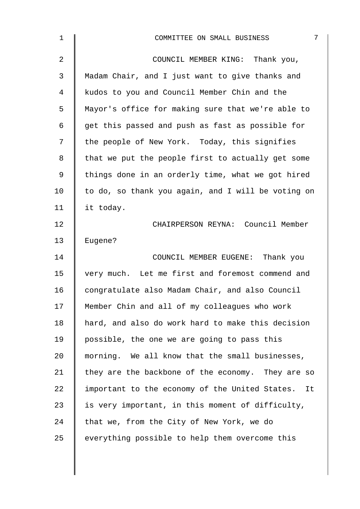| $\mathbf{1}$   | 7<br>COMMITTEE ON SMALL BUSINESS                     |
|----------------|------------------------------------------------------|
| $\overline{2}$ | COUNCIL MEMBER KING: Thank you,                      |
| 3              | Madam Chair, and I just want to give thanks and      |
| 4              | kudos to you and Council Member Chin and the         |
| 5              | Mayor's office for making sure that we're able to    |
| 6              | get this passed and push as fast as possible for     |
| 7              | the people of New York. Today, this signifies        |
| 8              | that we put the people first to actually get some    |
| 9              | things done in an orderly time, what we got hired    |
| 10             | to do, so thank you again, and I will be voting on   |
| 11             | it today.                                            |
| 12             | CHAIRPERSON REYNA: Council Member                    |
| 13             | Eugene?                                              |
| 14             | COUNCIL MEMBER EUGENE: Thank you                     |
| 15             | very much. Let me first and foremost commend and     |
| 16             | congratulate also Madam Chair, and also Council      |
| 17             | Member Chin and all of my colleagues who work        |
| 18             | hard, and also do work hard to make this decision    |
| 19             | possible, the one we are going to pass this          |
| 20             | morning. We all know that the small businesses,      |
| 21             | they are the backbone of the economy. They are so    |
| 22             | important to the economy of the United States.<br>It |
| 23             | is very important, in this moment of difficulty,     |
| 24             | that we, from the City of New York, we do            |
| 25             | everything possible to help them overcome this       |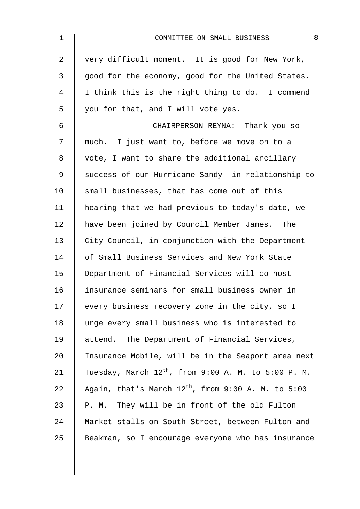| $\mathbf 1$ | 8<br>COMMITTEE ON SMALL BUSINESS                         |
|-------------|----------------------------------------------------------|
| 2           | very difficult moment. It is good for New York,          |
| 3           | good for the economy, good for the United States.        |
| 4           | I think this is the right thing to do. I commend         |
| 5           | you for that, and I will vote yes.                       |
| 6           | CHAIRPERSON REYNA: Thank you so                          |
| 7           | much. I just want to, before we move on to a             |
| 8           | vote, I want to share the additional ancillary           |
| 9           | success of our Hurricane Sandy--in relationship to       |
| 10          | small businesses, that has come out of this              |
| 11          | hearing that we had previous to today's date, we         |
| 12          | have been joined by Council Member James. The            |
| 13          | City Council, in conjunction with the Department         |
| 14          | of Small Business Services and New York State            |
| 15          | Department of Financial Services will co-host            |
| 16          | insurance seminars for small business owner in           |
| 17          | every business recovery zone in the city, so I           |
| 18          | urge every small business who is interested to           |
| 19          | attend. The Department of Financial Services,            |
| 20          | Insurance Mobile, will be in the Seaport area next       |
| 21          | Tuesday, March $12^{th}$ , from 9:00 A. M. to 5:00 P. M. |
| 22          | Again, that's March $12^{th}$ , from 9:00 A. M. to 5:00  |
| 23          | P. M. They will be in front of the old Fulton            |
| 24          | Market stalls on South Street, between Fulton and        |
| 25          | Beakman, so I encourage everyone who has insurance       |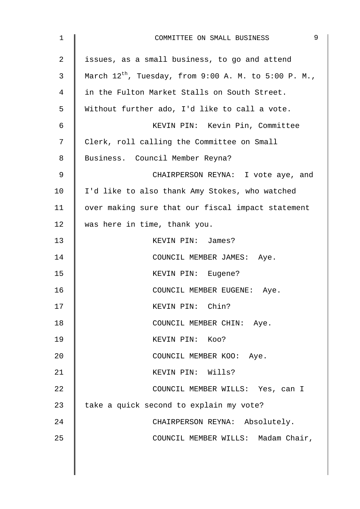| 1  | 9<br>COMMITTEE ON SMALL BUSINESS                          |
|----|-----------------------------------------------------------|
| 2  | issues, as a small business, to go and attend             |
| 3  | March $12^{th}$ , Tuesday, from 9:00 A. M. to 5:00 P. M., |
| 4  | in the Fulton Market Stalls on South Street.              |
| 5  | Without further ado, I'd like to call a vote.             |
| 6  | KEVIN PIN: Kevin Pin, Committee                           |
| 7  | Clerk, roll calling the Committee on Small                |
| 8  | Business. Council Member Reyna?                           |
| 9  | CHAIRPERSON REYNA: I vote aye, and                        |
| 10 | I'd like to also thank Amy Stokes, who watched            |
| 11 | over making sure that our fiscal impact statement         |
| 12 | was here in time, thank you.                              |
| 13 | KEVIN PIN: James?                                         |
| 14 | COUNCIL MEMBER JAMES: Aye.                                |
| 15 | KEVIN PIN: Eugene?                                        |
| 16 | COUNCIL MEMBER EUGENE: Aye.                               |
| 17 | KEVIN PIN: Chin?                                          |
| 18 | COUNCIL MEMBER CHIN: Aye.                                 |
| 19 | KEVIN PIN: KOO?                                           |
| 20 | COUNCIL MEMBER KOO: Aye.                                  |
| 21 | KEVIN PIN: Wills?                                         |
| 22 | COUNCIL MEMBER WILLS: Yes, can I                          |
| 23 | take a quick second to explain my vote?                   |
| 24 | CHAIRPERSON REYNA: Absolutely.                            |
| 25 | COUNCIL MEMBER WILLS: Madam Chair,                        |
|    |                                                           |
|    |                                                           |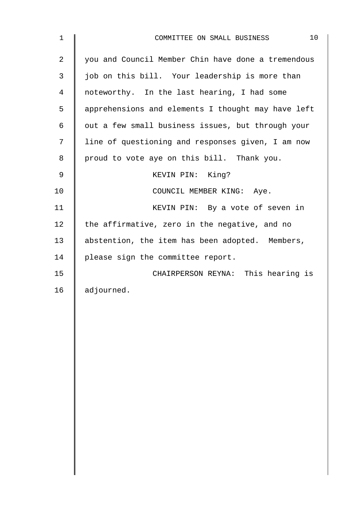| 1  | 10<br>COMMITTEE ON SMALL BUSINESS                  |
|----|----------------------------------------------------|
| 2  | you and Council Member Chin have done a tremendous |
| 3  | job on this bill. Your leadership is more than     |
| 4  | noteworthy. In the last hearing, I had some        |
| 5  | apprehensions and elements I thought may have left |
| 6  | out a few small business issues, but through your  |
| 7  | line of questioning and responses given, I am now  |
| 8  | proud to vote aye on this bill. Thank you.         |
| 9  | KEVIN PIN: King?                                   |
| 10 | COUNCIL MEMBER KING: Aye.                          |
| 11 | KEVIN PIN: By a vote of seven in                   |
| 12 | the affirmative, zero in the negative, and no      |
| 13 | abstention, the item has been adopted. Members,    |
| 14 | please sign the committee report.                  |
| 15 | CHAIRPERSON REYNA: This hearing is                 |
| 16 | adjourned.                                         |
|    |                                                    |
|    |                                                    |
|    |                                                    |
|    |                                                    |
|    |                                                    |
|    |                                                    |
|    |                                                    |
|    |                                                    |
|    |                                                    |
|    |                                                    |
|    |                                                    |